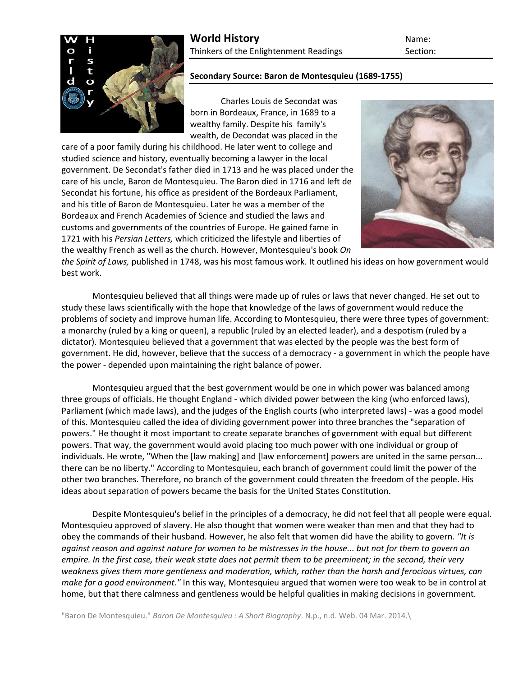

## **Secondary Source: Baron de Montesquieu (1689-1755)**

Charles Louis de Secondat was born in Bordeaux, France, in 1689 to a wealthy family. Despite his family's wealth, de Decondat was placed in the

care of a poor family during his childhood. He later went to college and studied science and history, eventually becoming a lawyer in the local government. De Secondat's father died in 1713 and he was placed under the care of his uncle, Baron de Montesquieu. The Baron died in 1716 and left de Secondat his fortune, his office as president of the Bordeaux Parliament, and his title of Baron de Montesquieu. Later he was a member of the Bordeaux and French Academies of Science and studied the laws and customs and governments of the countries of Europe. He gained fame in 1721 with his *Persian Letters,* which criticized the lifestyle and liberties of the wealthy French as well as the church. However, Montesquieu's book *On* 



*the Spirit of Laws,* published in 1748, was his most famous work. It outlined his ideas on how government would best work.

Montesquieu believed that all things were made up of rules or laws that never changed. He set out to study these laws scientifically with the hope that knowledge of the laws of government would reduce the problems of society and improve human life. According to Montesquieu, there were three types of government: a monarchy (ruled by a king or queen), a republic (ruled by an elected leader), and a despotism (ruled by a dictator). Montesquieu believed that a government that was elected by the people was the best form of government. He did, however, believe that the success of a democracy - a government in which the people have the power - depended upon maintaining the right balance of power.

Montesquieu argued that the best government would be one in which power was balanced among three groups of officials. He thought England - which divided power between the king (who enforced laws), Parliament (which made laws), and the judges of the English courts (who interpreted laws) - was a good model of this. Montesquieu called the idea of dividing government power into three branches the "separation of powers." He thought it most important to create separate branches of government with equal but different powers. That way, the government would avoid placing too much power with one individual or group of individuals. He wrote, "When the [law making] and [law enforcement] powers are united in the same person... there can be no liberty." According to Montesquieu, each branch of government could limit the power of the other two branches. Therefore, no branch of the government could threaten the freedom of the people. His ideas about separation of powers became the basis for the United States Constitution.

Despite Montesquieu's belief in the principles of a democracy, he did not feel that all people were equal. Montesquieu approved of slavery. He also thought that women were weaker than men and that they had to obey the commands of their husband. However, he also felt that women did have the ability to govern. *"It is against reason and against nature for women to be mistresses in the house... but not for them to govern an empire. In the first case, their weak state does not permit them to be preeminent; in the second, their very weakness gives them more gentleness and moderation, which, rather than the harsh and ferocious virtues, can make for a good environment."* In this way, Montesquieu argued that women were too weak to be in control at home, but that there calmness and gentleness would be helpful qualities in making decisions in government.

"Baron De Montesquieu." *Baron De Montesquieu : A Short Biography*. N.p., n.d. Web. 04 Mar. 2014.\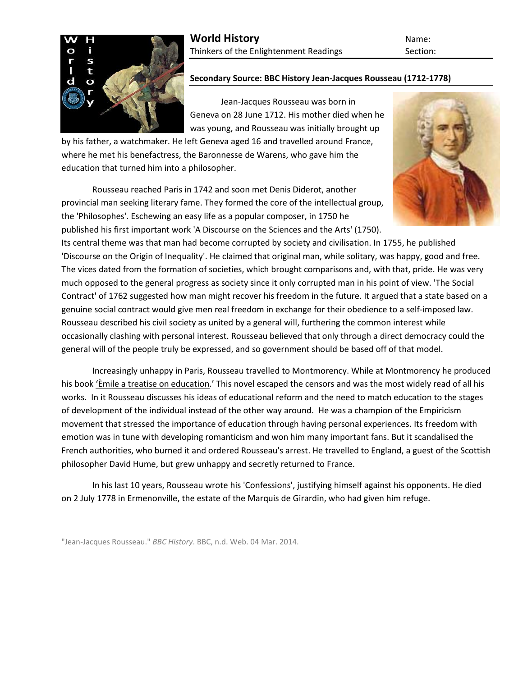

## **Secondary Source: BBC History Jean-Jacques Rousseau (1712-1778)**

Jean-Jacques Rousseau was born in Geneva on 28 June 1712. His mother died when he was young, and Rousseau was initially brought up

by his father, a watchmaker. He left Geneva aged 16 and travelled around France, where he met his benefactress, the Baronnesse de Warens, who gave him the education that turned him into a philosopher.



Rousseau reached Paris in 1742 and soon met Denis Diderot, another provincial man seeking literary fame. They formed the core of the intellectual group, the 'Philosophes'. Eschewing an easy life as a popular composer, in 1750 he published his first important work 'A Discourse on the Sciences and the Arts' (1750).

Its central theme was that man had become corrupted by society and civilisation. In 1755, he published 'Discourse on the Origin of Inequality'. He claimed that original man, while solitary, was happy, good and free. The vices dated from the formation of societies, which brought comparisons and, with that, pride. He was very much opposed to the general progress as society since it only corrupted man in his point of view. 'The Social Contract' of 1762 suggested how man might recover his freedom in the future. It argued that a state based on a genuine social contract would give men real freedom in exchange for their obedience to a self-imposed law. Rousseau described his civil society as united by a general will, furthering the common interest while occasionally clashing with personal interest. Rousseau believed that only through a direct democracy could the general will of the people truly be expressed, and so government should be based off of that model.

Increasingly unhappy in Paris, Rousseau travelled to Montmorency. While at Montmorency he produced his book 'Emile a treatise on education.' This novel escaped the censors and was the most widely read of all his works. In it Rousseau discusses his ideas of educational reform and the need to match education to the stages of development of the individual instead of the other way around. He was a champion of the Empiricism movement that stressed the importance of education through having personal experiences. Its freedom with emotion was in tune with developing romanticism and won him many important fans. But it scandalised the French authorities, who burned it and ordered Rousseau's arrest. He travelled to England, a guest of the Scottish philosopher David Hume, but grew unhappy and secretly returned to France.

In his last 10 years, Rousseau wrote his 'Confessions', justifying himself against his opponents. He died on 2 July 1778 in Ermenonville, the estate of the Marquis de Girardin, who had given him refuge.

"Jean-Jacques Rousseau." *BBC History*. BBC, n.d. Web. 04 Mar. 2014.